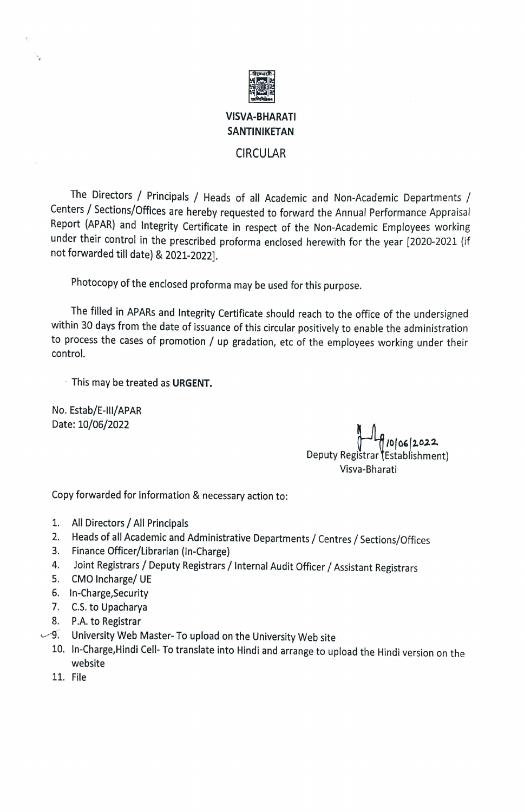

## VISVA-BHARATI SANTINIKETAN

## CIRCULAR

The Directors / Principals / Heads of all Academic and Non-Academic Departments / Centers / Sections/Offices are hereby requested to forward the Annual Performance Appraisal Report (APAR) and Integrity Certificate in respect of the Non-Academic Employees working under their control in the prescribed proforma enclosed herewith for the year [2020-2021 (if not forwarded till date) & 2021-2022].

Photocopy of the enclosed proforma may be used for this purpose.

The filled in APARs and Integrity Certificate should reach to the office of the undersigned within 30 days from the date of isuance of this circular positively to enable the administration to process the cases of promotion / up gradation, etc of the employees working under their control.

This may be treated as URGENT.

No. Estab/E-III/APAR Date: 10/06/2022

 $\epsilon$ 

0/06/2022 Deputy Registrar (Establishment) Visva-Bharati

Copy forwarded for information & necessary action to:

- 1. All Directors/ All Principals
- 2. Heads of all Academic and Administrative Departments / Centres / Sections/Offices
- Finance Officer/Librarian (In-Charge) 3.
- Joint Registrars/ Deputy Registrars/ Internal Audit Officer/ Assistant Registrars 4.
- CMO Incharge/ UE 5.
- 6. In-Charge,Security
- 7. C.S. to Upacharya
- P.A. to Registrar
- ه. P.A. to Registrar<br>University Web Master- To upload on the University Web site
	- 10. In-Charge, Hindi Cell-To translate into Hindi and arrange to upload the Hindi version on the website
	- 11. File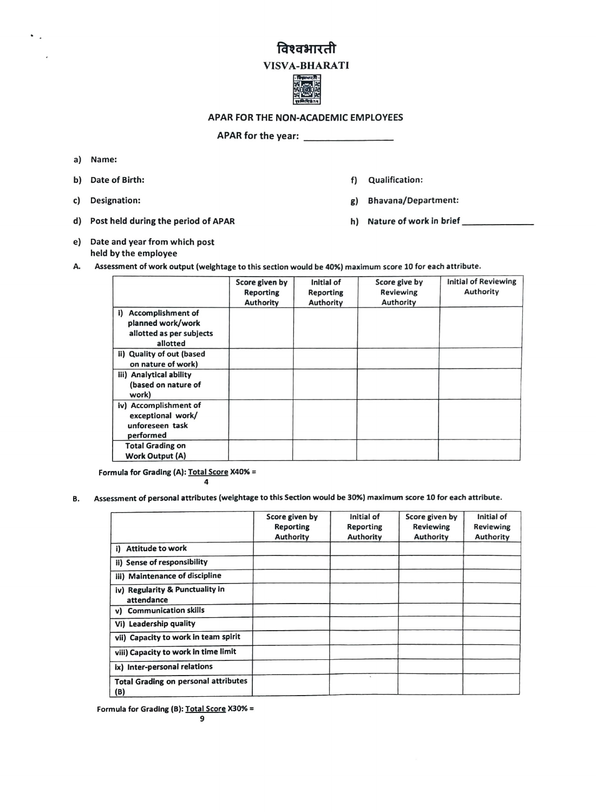## विश्वभारती

## VISVA-BHARATI



APAR FOR THE NON-ACADEMIC EMPLOYEES

APAR for the year:

a) Name:

 $\ddot{\phantom{0}}$ 

- 
- 
- d) Post held during the period of APAR h) Nature of work in brief \_\_\_\_\_\_\_\_\_\_\_\_\_\_
- e) Date and year from which post held by the employee
- b) Date of Birth: f) Qualification:
- c) Designation: 8) Designation: 8) Bhavana/Department:
	-
- A. Assessment of work output (weightage to this section would be 40%) maximum score 10 for each attribute.

|                                                 | Score given by<br><b>Reporting</b><br>Authority | Initial of<br><b>Reporting</b><br>Authority | Score give by<br>Reviewing<br>Authority | <b>Initial of Reviewing</b><br>Authority |
|-------------------------------------------------|-------------------------------------------------|---------------------------------------------|-----------------------------------------|------------------------------------------|
| <b>Accomplishment of</b><br>i)                  |                                                 |                                             |                                         |                                          |
| planned work/work                               |                                                 |                                             |                                         |                                          |
| allotted as per subjects<br>allotted            |                                                 |                                             |                                         |                                          |
| ii) Quality of out (based<br>on nature of work) |                                                 |                                             |                                         |                                          |
| iii) Analytical ability                         |                                                 |                                             |                                         |                                          |
| (based on nature of<br>work)                    |                                                 |                                             |                                         |                                          |
| iv) Accomplishment of                           |                                                 |                                             |                                         |                                          |
| exceptional work/                               |                                                 |                                             |                                         |                                          |
| unforeseen task                                 |                                                 |                                             |                                         |                                          |
| performed                                       |                                                 |                                             |                                         |                                          |
| <b>Total Grading on</b>                         |                                                 |                                             |                                         |                                          |
| <b>Work Output (A)</b>                          |                                                 |                                             |                                         |                                          |

Formula for Grading (A): Total Score X40% =  $\overline{\mathbf{a}}$ 

B. Assessment of personal attributes (weightage to this Section would be 30%) maximum score 10 for each attribute.

|                                                    | Score given by<br><b>Reporting</b><br><b>Authority</b> | Initial of<br>Reporting<br><b>Authority</b> | Score given by<br><b>Reviewing</b><br>Authority | Initial of<br><b>Reviewing</b><br><b>Authority</b> |
|----------------------------------------------------|--------------------------------------------------------|---------------------------------------------|-------------------------------------------------|----------------------------------------------------|
| i) Attitude to work                                |                                                        |                                             |                                                 |                                                    |
| ii) Sense of responsibility                        |                                                        |                                             |                                                 |                                                    |
| iii) Maintenance of discipline                     |                                                        |                                             |                                                 |                                                    |
| iv) Regularity & Punctuality in<br>attendance      |                                                        |                                             |                                                 |                                                    |
| v) Communication skills                            |                                                        |                                             |                                                 |                                                    |
| Vi) Leadership quality                             |                                                        |                                             |                                                 |                                                    |
| vii) Capacity to work in team spirit               |                                                        |                                             |                                                 |                                                    |
| viii) Capacity to work in time limit               |                                                        |                                             |                                                 |                                                    |
| ix) Inter-personal relations                       |                                                        |                                             |                                                 |                                                    |
| <b>Total Grading on personal attributes</b><br>(B) |                                                        | $\mathcal{N}$                               |                                                 |                                                    |

Formula for Grading (B): Total Score X30% =